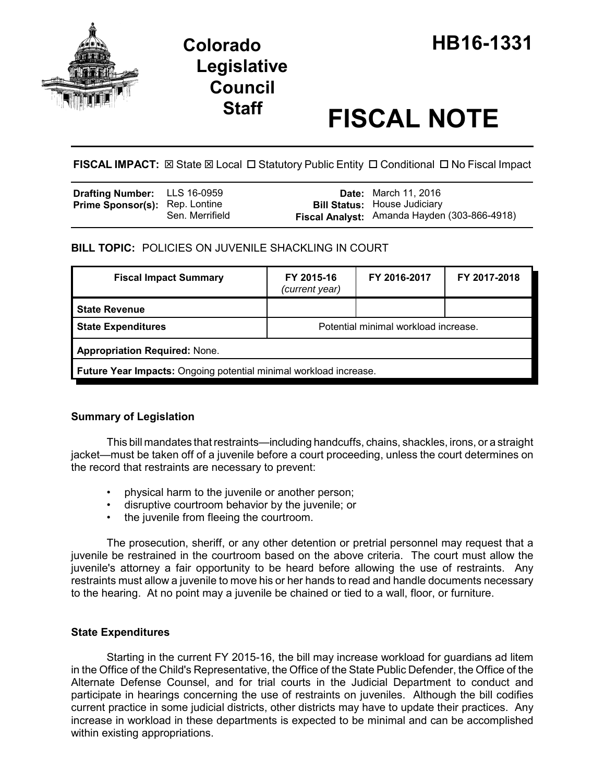

# **Staff FISCAL NOTE**

**FISCAL IMPACT:**  $\boxtimes$  State  $\boxtimes$  Local  $\Box$  Statutory Public Entity  $\Box$  Conditional  $\Box$  No Fiscal Impact

| <b>Drafting Number:</b> LLS 16-0959   |                 | <b>Date:</b> March 11, 2016                                                         |
|---------------------------------------|-----------------|-------------------------------------------------------------------------------------|
| <b>Prime Sponsor(s): Rep. Lontine</b> | Sen. Merrifield | <b>Bill Status: House Judiciary</b><br>Fiscal Analyst: Amanda Hayden (303-866-4918) |
|                                       |                 |                                                                                     |

**BILL TOPIC:** POLICIES ON JUVENILE SHACKLING IN COURT

| <b>Fiscal Impact Summary</b>                                      | FY 2015-16<br>(current year)         | FY 2016-2017 | FY 2017-2018 |  |  |  |
|-------------------------------------------------------------------|--------------------------------------|--------------|--------------|--|--|--|
| <b>State Revenue</b>                                              |                                      |              |              |  |  |  |
| <b>State Expenditures</b>                                         | Potential minimal workload increase. |              |              |  |  |  |
| <b>Appropriation Required: None.</b>                              |                                      |              |              |  |  |  |
| Future Year Impacts: Ongoing potential minimal workload increase. |                                      |              |              |  |  |  |

## **Summary of Legislation**

This bill mandates that restraints—including handcuffs, chains, shackles, irons, or a straight jacket—must be taken off of a juvenile before a court proceeding, unless the court determines on the record that restraints are necessary to prevent:

- physical harm to the juvenile or another person;
- disruptive courtroom behavior by the juvenile; or
- the juvenile from fleeing the courtroom.

The prosecution, sheriff, or any other detention or pretrial personnel may request that a juvenile be restrained in the courtroom based on the above criteria. The court must allow the juvenile's attorney a fair opportunity to be heard before allowing the use of restraints. Any restraints must allow a juvenile to move his or her hands to read and handle documents necessary to the hearing. At no point may a juvenile be chained or tied to a wall, floor, or furniture.

## **State Expenditures**

Starting in the current FY 2015-16, the bill may increase workload for guardians ad litem in the Office of the Child's Representative, the Office of the State Public Defender, the Office of the Alternate Defense Counsel, and for trial courts in the Judicial Department to conduct and participate in hearings concerning the use of restraints on juveniles. Although the bill codifies current practice in some judicial districts, other districts may have to update their practices. Any increase in workload in these departments is expected to be minimal and can be accomplished within existing appropriations.